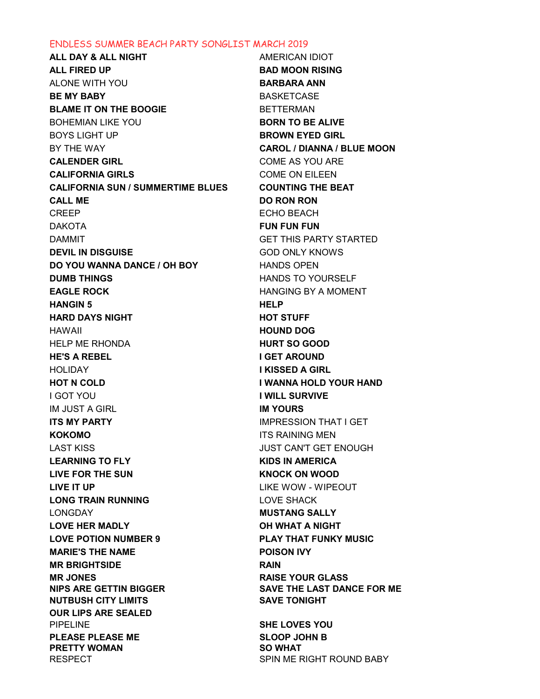## ENDLESS SUMMER BEACH PARTY SONGLIST MARCH 2019

ALL DAY & ALL NIGHT AMERICAN IDIOT ALL FIRED UP **BAD MOON RISING** ALONE WITH YOU BARBARA ANN BE MY BABY **BASKETCASE** BLAME IT ON THE BOOGIE BETTERMAN BOHEMIAN LIKE YOU BORN TO BE ALIVE BOYS LIGHT UP **BROWN EYED GIRL** BY THE WAY **CAROL / DIANNA / BLUE MOON** CALENDER GIRL COME AS YOU ARE CALIFORNIA GIRLS COME ON EILEEN CALIFORNIA SUN / SUMMERTIME BLUES COUNTING THE BEAT CALL ME DO RON RON CREEP ECHO BEACH DAKOTA FUN FUN FUN DAMMIT GET THIS PARTY STARTED DEVIL IN DISGUISE **DEVIL IN DISGUISE GOD ONLY KNOWS** DO YOU WANNA DANCE / OH BOY HANDS OPEN **DUMB THINGS EXAMPLE THE RESERVE TO YOURSELF** EAGLE ROCK HANGING BY A MOMENT HANGIN 5 HELP HARD DAYS NIGHT **HARD DAYS NIGHT** HAWAII HOUND DOG HELP ME RHONDA **HURT SO GOOD** HE'S A REBEL I GET AROUND HOLIDAY I KISSED A GIRL HOT N COLD I WANNA HOLD YOUR HAND **I GOT YOU GOT YOU GOT YOU GOT A SURVIVE** IM JUST A GIRL **IM YOURS ITS MY PARTY IMPRESSION THAT I GET** KOKOMO ITS RAINING MEN LAST KISS JUST CAN'T GET ENOUGH LEARNING TO FLY **EXECUTE A RESIST OF A REAL ANCHOR WAS SERVED AND A REAL ANCHOR WAS A REAL AND** LIVE FOR THE SUN EXAMPLE THE SUNDAY CONDUCT ON WOOD LIVE IT UP LIKE WOW - WIPEOUT LONG TRAIN RUNNING LOVE SHACK LONGDAY **MUSTANG SALLY** LOVE HER MADLY **The CONDUCT OF STATE ANIGHT** LOVE POTION NUMBER 9 PLAY THAT FUNKY MUSIC MARIE'S THE NAME POISON IVY MR BRIGHTSIDE RAIN MR JONES RAISE YOUR GLASS NIPS ARE GETTIN BIGGER SAVE THE LAST DANCE FOR ME NUTBUSH CITY LIMITS SAVE TONIGHT OUR LIPS ARE SEALED PIPELINE SHE LOVES YOU PLEASE PLEASE ME SLOOP JOHN B PRETTY WOMAN SO WHAT RESPECT SPIN ME RIGHT ROUND BABY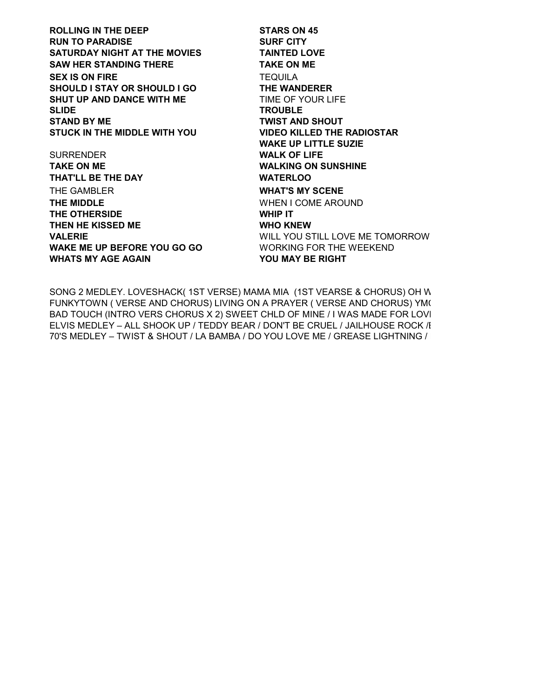ROLLING IN THE DEEP STARS ON 45 RUN TO PARADISE SURF CITY SATURDAY NIGHT AT THE MOVIES TAINTED LOVE SAW HER STANDING THERE TAKE ON ME SEX IS ON FIRE TEQUILA SHOULD I STAY OR SHOULD I GO THE WANDERER SHUT UP AND DANCE WITH ME TIME OF YOUR LIFE SLIDE TROUBLE STAND BY ME TWIST AND SHOUT STUCK IN THE MIDDLE WITH YOU VIDEO KILLED THE RADIOSTAR

SURRENDER WALK OF LIFE TAKE ON ME WALKING ON SUNSHINE THAT'LL BE THE DAY WATERLOO THE GAMBLER WHAT'S MY SCENE THE MIDDLE **WHEN I COME AROUND** THE OTHERSIDE WHIP IT THEN HE KISSED ME WHO KNEW WAKE ME UP BEFORE YOU GO GO WORKING FOR THE WEEKEND WHATS MY AGE AGAIN **WHATS MY AGE AGAIN** 

WAKE UP LITTLE SUZIE VALERIE WILL YOU STILL LOVE ME TOMORROW

SONG 2 MEDLEY. LOVESHACK( 1ST VERSE) MAMA MIA (1ST VEARSE & CHORUS) OH W FUNKYTOWN ( VERSE AND CHORUS) LIVING ON A PRAYER ( VERSE AND CHORUS) YM( BAD TOUCH (INTRO VERS CHORUS X 2) SWEET CHLD OF MINE / I WAS MADE FOR LOVI ELVIS MEDLEY – ALL SHOOK UP / TEDDY BEAR / DON'T BE CRUEL / JAILHOUSE ROCK / I 70'S MEDLEY – TWIST & SHOUT / LA BAMBA / DO YOU LOVE ME / GREASE LIGHTNING / I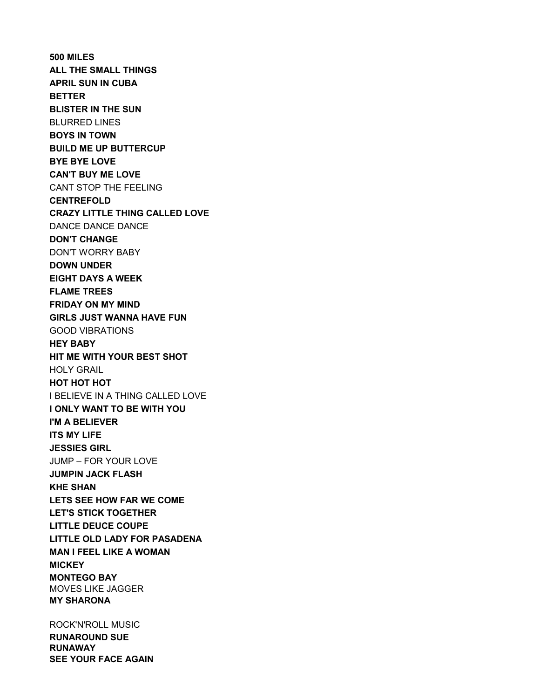500 MILES ALL THE SMALL THINGS APRIL SUN IN CUBA BETTER BLISTER IN THE SUN BLURRED LINES BOYS IN TOWN BUILD ME UP BUTTERCUP BYE BYE LOVE CAN'T BUY ME LOVE CANT STOP THE FEELING CENTREFOLD CRAZY LITTLE THING CALLED LOVE DANCE DANCE DANCE DON'T CHANGE DON'T WORRY BABY DOWN UNDER EIGHT DAYS A WEEK FLAME TREES FRIDAY ON MY MIND GIRLS JUST WANNA HAVE FUN GOOD VIBRATIONS HEY BABY HIT ME WITH YOUR BEST SHOT HOLY GRAIL HOT HOT HOT I BELIEVE IN A THING CALLED LOVE I ONLY WANT TO BE WITH YOU I'M A BELIEVER ITS MY LIFE JESSIES GIRL JUMP – FOR YOUR LOVE JUMPIN JACK FLASH KHE SHAN LETS SEE HOW FAR WE COME LET'S STICK TOGETHER LITTLE DEUCE COUPE LITTLE OLD LADY FOR PASADENA MAN I FEEL LIKE A WOMAN **MICKEY** MONTEGO BAY MOVES LIKE JAGGER MY SHARONA

ROCK'N'ROLL MUSIC RUNAROUND SUE RUNAWAY SEE YOUR FACE AGAIN